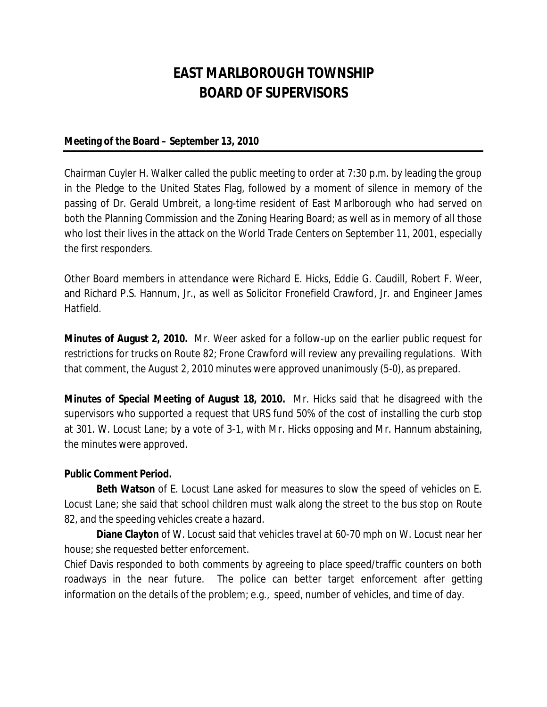# **EAST MARLBOROUGH TOWNSHIP BOARD OF SUPERVISORS**

#### **Meeting of the Board – September 13, 2010**

Chairman Cuyler H. Walker called the public meeting to order at 7:30 p.m. by leading the group in the Pledge to the United States Flag, followed by a moment of silence in memory of the passing of Dr. Gerald Umbreit, a long-time resident of East Marlborough who had served on both the Planning Commission and the Zoning Hearing Board; as well as in memory of all those who lost their lives in the attack on the World Trade Centers on September 11, 2001, especially the first responders.

Other Board members in attendance were Richard E. Hicks, Eddie G. Caudill, Robert F. Weer, and Richard P.S. Hannum, Jr., as well as Solicitor Fronefield Crawford, Jr. and Engineer James Hatfield.

**Minutes of August 2, 2010.** Mr. Weer asked for a follow-up on the earlier public request for restrictions for trucks on Route 82; Frone Crawford will review any prevailing regulations. With that comment, the August 2, 2010 minutes were approved unanimously (5-0), as prepared.

**Minutes of Special Meeting of August 18, 2010.** Mr. Hicks said that he disagreed with the supervisors who supported a request that URS fund 50% of the cost of installing the curb stop at 301. W. Locust Lane; by a vote of 3-1, with Mr. Hicks opposing and Mr. Hannum abstaining, the minutes were approved.

#### **Public Comment Period.**

**Beth Watson** of E. Locust Lane asked for measures to slow the speed of vehicles on E. Locust Lane; she said that school children must walk along the street to the bus stop on Route 82, and the speeding vehicles create a hazard.

**Diane Clayton** of W. Locust said that vehicles travel at 60-70 mph on W. Locust near her house; she requested better enforcement.

Chief Davis responded to both comments by agreeing to place speed/traffic counters on both roadways in the near future. The police can better target enforcement after getting information on the details of the problem; e.g., speed, number of vehicles, and time of day.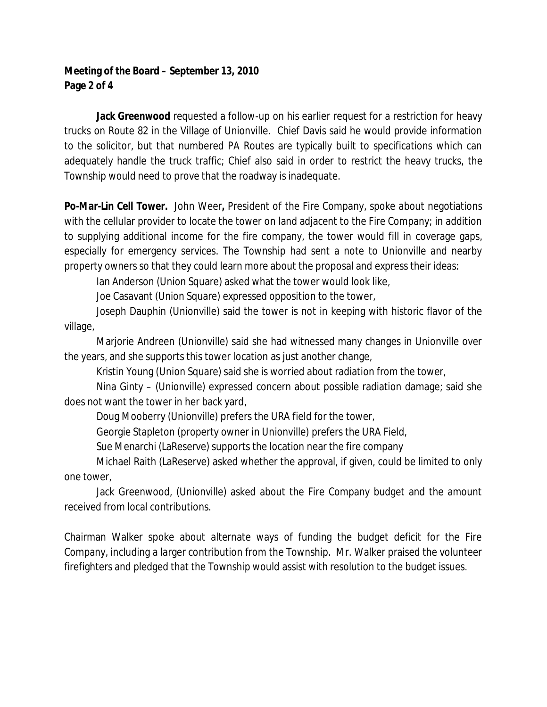## **Meeting of the Board – September 13, 2010 Page 2 of 4**

**Jack Greenwood** requested a follow-up on his earlier request for a restriction for heavy trucks on Route 82 in the Village of Unionville. Chief Davis said he would provide information to the solicitor, but that numbered PA Routes are typically built to specifications which can adequately handle the truck traffic; Chief also said in order to restrict the heavy trucks, the Township would need to prove that the roadway is inadequate.

**Po-Mar-Lin Cell Tower.** John Weer**,** President of the Fire Company, spoke about negotiations with the cellular provider to locate the tower on land adjacent to the Fire Company; in addition to supplying additional income for the fire company, the tower would fill in coverage gaps, especially for emergency services. The Township had sent a note to Unionville and nearby property owners so that they could learn more about the proposal and express their ideas:

Ian Anderson (Union Square) asked what the tower would look like,

Joe Casavant (Union Square) expressed opposition to the tower,

Joseph Dauphin (Unionville) said the tower is not in keeping with historic flavor of the village,

Marjorie Andreen (Unionville) said she had witnessed many changes in Unionville over the years, and she supports this tower location as just another change,

Kristin Young (Union Square) said she is worried about radiation from the tower,

Nina Ginty – (Unionville) expressed concern about possible radiation damage; said she does not want the tower in her back yard,

Doug Mooberry (Unionville) prefers the URA field for the tower,

Georgie Stapleton (property owner in Unionville) prefers the URA Field,

Sue Menarchi (LaReserve) supports the location near the fire company

Michael Raith (LaReserve) asked whether the approval, if given, could be limited to only one tower,

Jack Greenwood, (Unionville) asked about the Fire Company budget and the amount received from local contributions.

Chairman Walker spoke about alternate ways of funding the budget deficit for the Fire Company, including a larger contribution from the Township. Mr. Walker praised the volunteer firefighters and pledged that the Township would assist with resolution to the budget issues.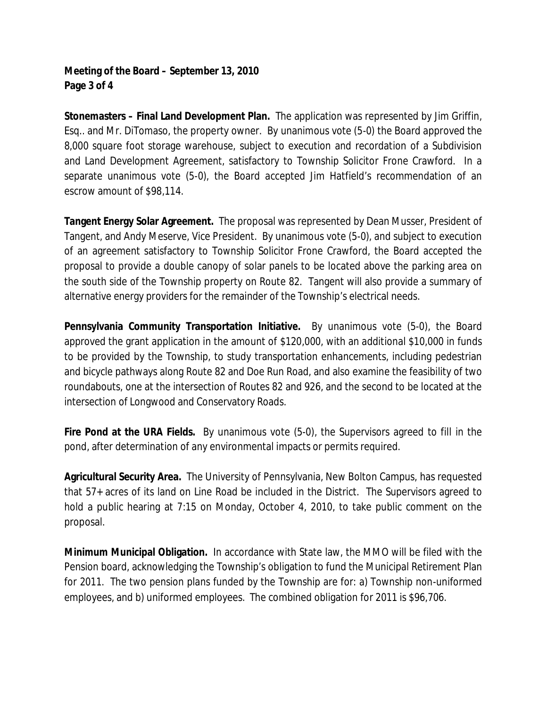## **Meeting of the Board – September 13, 2010 Page 3 of 4**

**Stonemasters – Final Land Development Plan.** The application was represented by Jim Griffin, Esq.. and Mr. DiTomaso, the property owner. By unanimous vote (5-0) the Board approved the 8,000 square foot storage warehouse, subject to execution and recordation of a Subdivision and Land Development Agreement, satisfactory to Township Solicitor Frone Crawford. In a separate unanimous vote (5-0), the Board accepted Jim Hatfield's recommendation of an escrow amount of \$98,114.

**Tangent Energy Solar Agreement.** The proposal was represented by Dean Musser, President of Tangent, and Andy Meserve, Vice President. By unanimous vote (5-0), and subject to execution of an agreement satisfactory to Township Solicitor Frone Crawford, the Board accepted the proposal to provide a double canopy of solar panels to be located above the parking area on the south side of the Township property on Route 82. Tangent will also provide a summary of alternative energy providers for the remainder of the Township's electrical needs.

**Pennsylvania Community Transportation Initiative.** By unanimous vote (5-0), the Board approved the grant application in the amount of \$120,000, with an additional \$10,000 in funds to be provided by the Township, to study transportation enhancements, including pedestrian and bicycle pathways along Route 82 and Doe Run Road, and also examine the feasibility of two roundabouts, one at the intersection of Routes 82 and 926, and the second to be located at the intersection of Longwood and Conservatory Roads.

**Fire Pond at the URA Fields.** By unanimous vote (5-0), the Supervisors agreed to fill in the pond, after determination of any environmental impacts or permits required.

**Agricultural Security Area.** The University of Pennsylvania, New Bolton Campus, has requested that 57+ acres of its land on Line Road be included in the District. The Supervisors agreed to hold a public hearing at 7:15 on Monday, October 4, 2010, to take public comment on the proposal.

**Minimum Municipal Obligation.** In accordance with State law, the MMO will be filed with the Pension board, acknowledging the Township's obligation to fund the Municipal Retirement Plan for 2011. The two pension plans funded by the Township are for: a) Township non-uniformed employees, and b) uniformed employees. The combined obligation for 2011 is \$96,706.